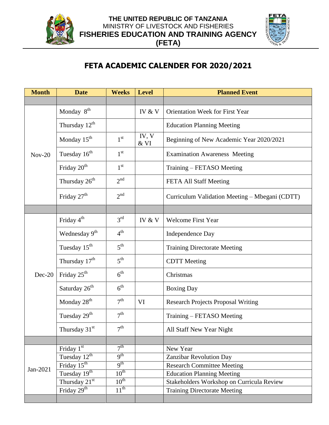



## **FETA ACADEMIC CALENDER FOR 2020/2021**

| <b>Month</b> | <b>Date</b>               | <b>Weeks</b>     | <b>Level</b>     | <b>Planned Event</b>                           |
|--------------|---------------------------|------------------|------------------|------------------------------------------------|
|              |                           |                  |                  |                                                |
| $Nov-20$     | Monday 8 <sup>th</sup>    |                  | IV & V           | <b>Orientation Week for First Year</b>         |
|              | Thursday 12 <sup>th</sup> |                  |                  | <b>Education Planning Meeting</b>              |
|              | Monday 15 <sup>th</sup>   | $1^{\rm st}$     | IV, V<br>$\&$ VI | Beginning of New Academic Year 2020/2021       |
|              | Tuesday 16 <sup>th</sup>  | 1 <sup>st</sup>  |                  | <b>Examination Awareness Meeting</b>           |
|              | Friday 20 <sup>th</sup>   | 1 <sup>st</sup>  |                  | Training – FETASO Meeting                      |
|              | Thursday 26 <sup>th</sup> | 2 <sup>nd</sup>  |                  | FETA All Staff Meeting                         |
|              | Friday 27 <sup>th</sup>   | $2^{nd}$         |                  | Curriculum Validation Meeting - Mbegani (CDTT) |
|              |                           |                  |                  |                                                |
|              | Friday 4 <sup>th</sup>    | 3 <sup>rd</sup>  | IV & V           | <b>Welcome First Year</b>                      |
|              | Wednesday 9 <sup>th</sup> | $4^{\text{th}}$  |                  | <b>Independence Day</b>                        |
|              | Tuesday $15^{\text{th}}$  | $5^{\text{th}}$  |                  | <b>Training Directorate Meeting</b>            |
|              | Thursday 17 <sup>th</sup> | 5 <sup>th</sup>  |                  | <b>CDTT</b> Meeting                            |
| $Dec-20$     | Friday 25 <sup>th</sup>   | $6^{\text{th}}$  |                  | Christmas                                      |
|              | Saturday 26 <sup>th</sup> | $6^{\text{th}}$  |                  | <b>Boxing Day</b>                              |
|              | Monday 28 <sup>th</sup>   | 7 <sup>th</sup>  | VI               | <b>Research Projects Proposal Writing</b>      |
|              | Tuesday 29 <sup>th</sup>  | 7 <sup>th</sup>  |                  | Training – FETASO Meeting                      |
|              | Thursday 31st             | 7 <sup>th</sup>  |                  | All Staff New Year Night                       |
|              |                           |                  |                  |                                                |
| Jan-2021     | Friday 1st                | 7 <sup>th</sup>  |                  | New Year                                       |
|              | Tuesday 12 <sup>th</sup>  | 9 <sup>th</sup>  |                  | Zanzibar Revolution Day                        |
|              | Friday $15^{th}$          | 9 <sup>th</sup>  |                  | <b>Research Committee Meeting</b>              |
|              | Tuesday 19th              | $10^{th}$        |                  | <b>Education Planning Meeting</b>              |
|              | Thursday $21^{st}$        | $10^{\text{th}}$ |                  | Stakeholders Workshop on Curricula Review      |
|              | Friday 29 <sup>th</sup>   | $11^{th}$        |                  | <b>Training Directorate Meeting</b>            |
|              |                           |                  |                  |                                                |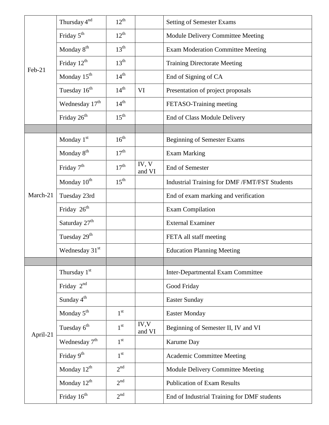| Feb-21   | Thursday 4 <sup>nd</sup>   | $12^{th}$        |                 | <b>Setting of Semester Exams</b>              |
|----------|----------------------------|------------------|-----------------|-----------------------------------------------|
|          | Friday 5 <sup>th</sup>     | $12^{th}$        |                 | Module Delivery Committee Meeting             |
|          | Monday 8 <sup>th</sup>     | $13^{\text{th}}$ |                 | <b>Exam Moderation Committee Meeting</b>      |
|          | Friday $12^{th}$           | $13^{\text{th}}$ |                 | <b>Training Directorate Meeting</b>           |
|          | Monday 15 <sup>th</sup>    | $14^{th}$        |                 | End of Signing of CA                          |
|          | Tuesday 16 <sup>th</sup>   | $14^{\text{th}}$ | VI              | Presentation of project proposals             |
|          | Wednesday $17th$           | 14 <sup>th</sup> |                 | FETASO-Training meeting                       |
|          | Friday 26 <sup>th</sup>    | $15^{\text{th}}$ |                 | End of Class Module Delivery                  |
|          |                            |                  |                 |                                               |
|          | Monday $1st$               | $16^{th}$        |                 | <b>Beginning of Semester Exams</b>            |
|          | Monday 8 <sup>th</sup>     | $17^{\text{th}}$ |                 | <b>Exam Marking</b>                           |
|          | Friday 7 <sup>th</sup>     | 17 <sup>th</sup> | IV, V<br>and VI | End of Semester                               |
|          | Monday 10 <sup>th</sup>    | $15^{\text{th}}$ |                 | Industrial Training for DMF /FMT/FST Students |
| March-21 | Tuesday 23rd               |                  |                 | End of exam marking and verification          |
|          | Friday 26 <sup>th</sup>    |                  |                 | <b>Exam Compilation</b>                       |
|          | Saturday 27 <sup>th</sup>  |                  |                 | <b>External Examiner</b>                      |
|          | Tuesday 29 <sup>th</sup>   |                  |                 | FETA all staff meeting                        |
|          | Wednesday 31 <sup>st</sup> |                  |                 | <b>Education Planning Meeting</b>             |
|          |                            |                  |                 |                                               |
| April-21 | Thursday 1 <sup>st</sup>   |                  |                 | <b>Inter-Departmental Exam Committee</b>      |
|          | Friday 2 <sup>nd</sup>     |                  |                 | Good Friday                                   |
|          | Sunday $4^{\text{th}}$     |                  |                 | <b>Easter Sunday</b>                          |
|          | Monday 5 <sup>th</sup>     | 1 <sup>st</sup>  |                 | <b>Easter Monday</b>                          |
|          | Tuesday 6 <sup>th</sup>    | 1 <sup>st</sup>  | IV, V<br>and VI | Beginning of Semester II, IV and VI           |
|          | Wednesday 7 <sup>th</sup>  | 1 <sup>st</sup>  |                 | Karume Day                                    |
|          | Friday 9 <sup>th</sup>     | 1 <sup>st</sup>  |                 | <b>Academic Committee Meeting</b>             |
|          | Monday $12^{th}$           | 2 <sup>nd</sup>  |                 | Module Delivery Committee Meeting             |
|          | Monday $12^{th}$           | 2 <sup>nd</sup>  |                 | <b>Publication of Exam Results</b>            |
|          | Friday $16^{\rm th}$       | 2 <sup>nd</sup>  |                 | End of Industrial Training for DMF students   |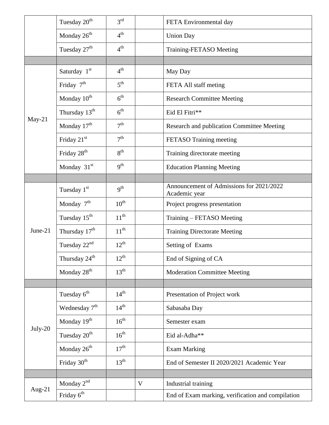|          | Tuesday 20 <sup>th</sup>  | $3^{\text{rd}}$  |   | FETA Environmental day                                    |
|----------|---------------------------|------------------|---|-----------------------------------------------------------|
|          | Monday 26 <sup>th</sup>   | $4^{\text{th}}$  |   | <b>Union Day</b>                                          |
|          | Tuesday 27 <sup>th</sup>  | $4^{\text{th}}$  |   | Training-FETASO Meeting                                   |
|          |                           |                  |   |                                                           |
|          | Saturday 1 <sup>st</sup>  | 4 <sup>th</sup>  |   | May Day                                                   |
|          | Friday $7th$              | 5 <sup>th</sup>  |   | FETA All staff meting                                     |
|          | Monday 10 <sup>th</sup>   | $6^{\text{th}}$  |   | <b>Research Committee Meeting</b>                         |
|          | Thursday 13 <sup>th</sup> | 6 <sup>th</sup>  |   | Eid El Fitri**                                            |
| $May-21$ | Monday 17 <sup>th</sup>   | 7 <sup>th</sup>  |   | Research and publication Committee Meeting                |
|          | Friday $21st$             | 7 <sup>th</sup>  |   | FETASO Training meeting                                   |
|          | Friday 28 <sup>th</sup>   | 8 <sup>th</sup>  |   | Training directorate meeting                              |
|          | Monday $31st$             | $q^{th}$         |   | <b>Education Planning Meeting</b>                         |
|          |                           |                  |   |                                                           |
|          | Tuesday 1 <sup>st</sup>   | $q^{th}$         |   | Announcement of Admissions for 2021/2022<br>Academic year |
|          | Monday $7th$              | $10^{\text{th}}$ |   | Project progress presentation                             |
|          | Tuesday $15^{\text{th}}$  | $11^{\text{th}}$ |   | Training - FETASO Meeting                                 |
| June-21  | Thursday $17th$           | $11^{th}$        |   | <b>Training Directorate Meeting</b>                       |
|          | Tuesday $22nd$            | $12^{th}$        |   | Setting of Exams                                          |
|          | Thursday 24 <sup>th</sup> | $12^{th}$        |   | End of Signing of CA                                      |
|          | Monday 28 <sup>th</sup>   | $13^{\text{th}}$ |   | <b>Moderation Committee Meeting</b>                       |
|          |                           |                  |   |                                                           |
| July-20  | Tuesday 6 <sup>th</sup>   | $14^{\text{th}}$ |   | Presentation of Project work                              |
|          | Wednesday $7th$           | $14^{\text{th}}$ |   | Sabasaba Day                                              |
|          | Monday 19 <sup>th</sup>   | $16^{\text{th}}$ |   | Semester exam                                             |
|          | Tuesday 20 <sup>th</sup>  | $16^{\text{th}}$ |   | Eid al-Adha**                                             |
|          | Monday 26 <sup>th</sup>   | $17^{\text{th}}$ |   | <b>Exam Marking</b>                                       |
|          | Friday 30 <sup>th</sup>   | $13^{\text{th}}$ |   | End of Semester II 2020/2021 Academic Year                |
|          |                           |                  |   |                                                           |
| Aug-21   | Monday $2^{nd}$           |                  | V | Industrial training                                       |
|          | Friday 6 <sup>th</sup>    |                  |   | End of Exam marking, verification and compilation         |